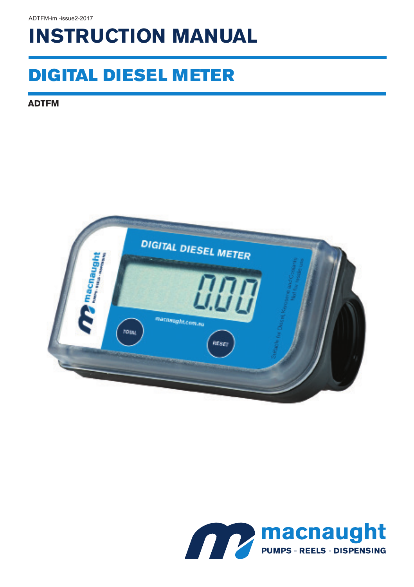# **INSTRUCTION MANUAL**

## DIGITAL DIESEL METER

**ADTFM**



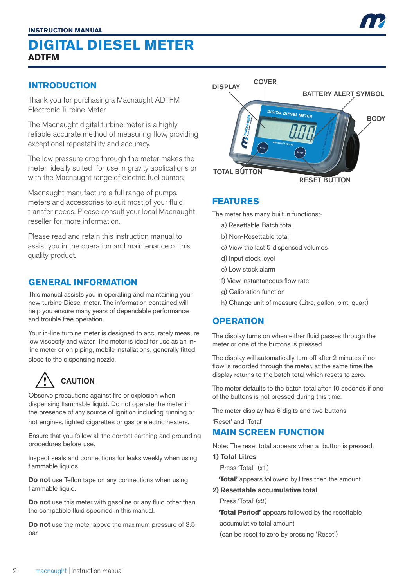#### **INTRODUCTION**

Thank you for purchasing a Macnaught ADTFM Electronic Turbine Meter

The Macnaught digital turbine meter is a highly reliable accurate method of measuring flow, providing exceptional repeatability and accuracy.

The low pressure drop through the meter makes the meter ideally suited for use in gravity applications or with the Macnaught range of electric fuel pumps.

Macnaught manufacture a full range of pumps, meters and accessories to suit most of your fluid transfer needs. Please consult your local Macnaught reseller for more information.

Please read and retain this instruction manual to assist you in the operation and maintenance of this quality product.

#### **GENERAL INFORMATION**

This manual assists you in operating and maintaining your new turbine Diesel meter. The information contained will help you ensure many years of dependable performance and trouble free operation.

Your in-line turbine meter is designed to accurately measure low viscosity and water. The meter is ideal for use as an inline meter or on piping, mobile installations, generally fitted close to the dispensing nozzle.

## **CAUTION**

Observe precautions against fire or explosion when dispensing flammable liquid. Do not operate the meter in the presence of any source of ignition including running or hot engines, lighted cigarettes or gas or electric heaters.

Ensure that you follow all the correct earthing and grounding procedures before use.

Inspect seals and connections for leaks weekly when using flammable liquids.

**Do not** use Teflon tape on any connections when using flammable liquid.

**Do not** use this meter with gasoline or any fluid other than the compatible fluid specified in this manual.

**Do not** use the meter above the maximum pressure of 3.5 bar



#### **FEATURES**

The meter has many built in functions:-

- a) Resettable Batch total
- b) Non-Resettable total
- c) View the last 5 dispensed volumes
- d) Input stock level
- e) Low stock alarm
- f) View instantaneous flow rate
- g) Calibration function
- h) Change unit of measure (Litre, gallon, pint, quart)

#### **OPERATION**

The display turns on when either fluid passes through the meter or one of the buttons is pressed

The display will automatically turn off after 2 minutes if no flow is recorded through the meter, at the same time the display returns to the batch total which resets to zero.

The meter defaults to the batch total after 10 seconds if one of the buttons is not pressed during this time.

The meter display has 6 digits and two buttons

'Reset' and 'Total'

#### **MAIN SCREEN FUNCTION**

Note: The reset total appears when a button is pressed.

#### **1) Total Litres**

Press 'Total' (x1)

 **'Total'** appears followed by litres then the amount

#### **2) Resettable accumulative total**

Press 'Total' (x2)

 **'Total Period'** appears followed by the resettable

accumulative total amount

(can be reset to zero by pressing 'Reset')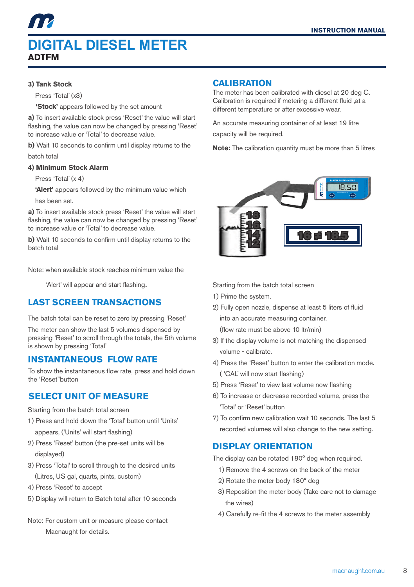#### **3) Tank Stock**

Press 'Total' (x3)

 **'Stock'** appears followed by the set amount

**a)** To insert available stock press 'Reset' the value will start flashing, the value can now be changed by pressing 'Reset' to increase value or 'Total' to decrease value.

**b)** Wait 10 seconds to confirm until display returns to the batch total

#### **4) Minimum Stock Alarm**

Press 'Total' (y 4)

**'Alert'** appears followed by the minimum value which

has been set.

**a)** To insert available stock press 'Reset' the value will start flashing, the value can now be changed by pressing 'Reset' to increase value or 'Total' to decrease value.

**b)** Wait 10 seconds to confirm until display returns to the batch total

Note: when available stock reaches minimum value the

'Alert' will appear and start flashing.

#### **LAST SCREEN TRANSACTIONS**

The batch total can be reset to zero by pressing 'Reset'

The meter can show the last 5 volumes dispensed by pressing 'Reset' to scroll through the totals, the 5th volume is shown by pressing 'Total'

#### **INSTANTANEOUS FLOW RATE**

To show the instantaneous flow rate, press and hold down the 'Reset"button

#### **SELECT UNIT OF MEASURE**

Starting from the batch total screen

- 1) Press and hold down the 'Total' button until 'Units' appears, ('Units' will start flashing)
- 2) Press 'Reset' button (the pre-set units will be displayed)
- 3) Press 'Total' to scroll through to the desired units (Litres, US gal, quarts, pints, custom)
- 4) Press 'Reset' to accept
- 5) Display will return to Batch total after 10 seconds
- Note: For custom unit or measure please contact Macnaught for details.

#### **CALIBRATION**

The meter has been calibrated with diesel at 20 deg C. Calibration is required if metering a different fluid ,at a different temperature or after excessive wear.

An accurate measuring container of at least 19 litre capacity will be required.

**Note:** The calibration quantity must be more than 5 litres



Starting from the batch total screen

- 1) Prime the system.
- 2) Fully open nozzle, dispense at least 5 liters of fluid into an accurate measuring container. (flow rate must be above 10 ltr/min)
- 3) If the display volume is not matching the dispensed volume - calibrate.
- 4) Press the 'Reset' button to enter the calibration mode. ( 'CAL' will now start flashing)
- 5) Press 'Reset' to view last volume now flashing
- 6) To increase or decrease recorded volume, press the 'Total' or 'Reset' button
- 7) To confirm new calibration wait 10 seconds. The last 5 recorded volumes will also change to the new setting.

#### **DISPLAY ORIENTATION**

The display can be rotated 180° deg when required.

- 1) Remove the 4 screws on the back of the meter
- 2) Rotate the meter body 180° deg
- 3) Reposition the meter body (Take care not to damage the wires)
- 4) Carefully re-fit the 4 screws to the meter assembly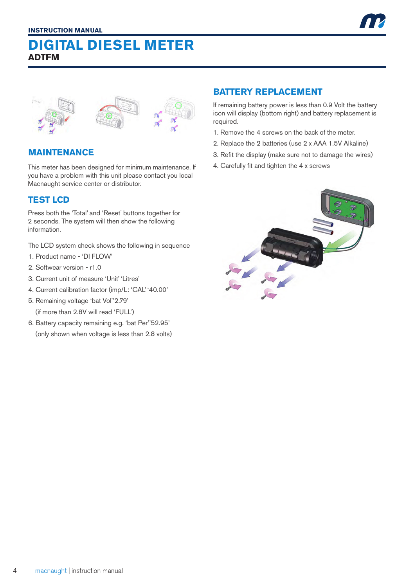

#### **MAINTENANCE**

This meter has been designed for minimum maintenance. If you have a problem with this unit please contact you local Macnaught service center or distributor.

#### **TEST LCD**

Press both the 'Total' and 'Reset' buttons together for 2 seconds. The system will then show the following information.

The LCD system check shows the following in sequence

- 1. Product name 'DI FLOW'
- 2. Softwear version r1.0
- 3. Current unit of measure 'Unit' 'Litres'
- 4. Current calibration factor (imp/L: 'CAL' '40.00'
- 5. Remaining voltage 'bat Vol''2.79' (if more than 2.8V will read 'FULL')
- 6. Battery capacity remaining e.g. 'bat Per''52.95' (only shown when voltage is less than 2.8 volts)

#### **BATTERY REPLACEMENT**

If remaining battery power is less than 0.9 Volt the battery icon will display (bottom right) and battery replacement is required.

- 1. Remove the 4 screws on the back of the meter.
- 2. Replace the 2 batteries (use 2 x AAA 1.5V Alkaline)
- 3. Refit the display (make sure not to damage the wires)
- 4. Carefully fit and tighten the 4 x screws

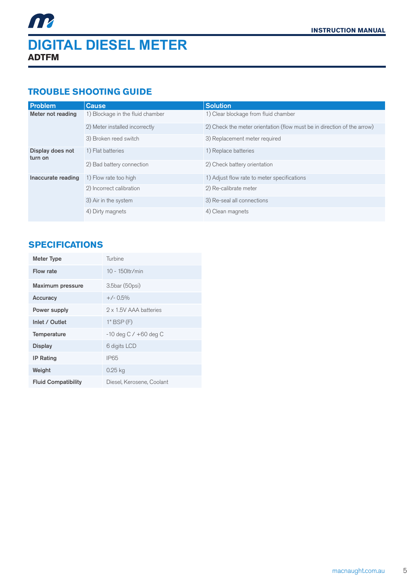#### **TROUBLE SHOOTING GUIDE**

| Problem                     | Cause                            | <b>Solution</b>                                                         |
|-----------------------------|----------------------------------|-------------------------------------------------------------------------|
| Meter not reading           | 1) Blockage in the fluid chamber | 1) Clear blockage from fluid chamber                                    |
|                             | 2) Meter installed incorrectly   | 2) Check the meter orientation (flow must be in direction of the arrow) |
|                             | 3) Broken reed switch            | 3) Replacement meter required                                           |
| Display does not<br>turn on | 1) Flat batteries                | 1) Replace batteries                                                    |
|                             | 2) Bad battery connection        | 2) Check battery orientation                                            |
| Inaccurate reading          | 1) Flow rate too high            | 1) Adjust flow rate to meter specifications                             |
|                             | 2) Incorrect calibration         | 2) Re-calibrate meter                                                   |
|                             | 3) Air in the system             | 3) Re-seal all connections                                              |
|                             | 4) Dirty magnets                 | 4) Clean magnets                                                        |

#### **SPECIFICATIONS**

| <b>Meter Type</b>          | Turbine                   |
|----------------------------|---------------------------|
| Flow rate                  | $10 - 150$ ltr/min        |
| Maximum pressure           | 3.5bar (50psi)            |
| Accuracy                   | $+/- 0.5\%$               |
| Power supply               | 2 x 1.5V AAA batteries    |
| Inlet / Outlet             | $1"$ BSP $(F)$            |
| Temperature                | $-10$ deg C $/ +60$ deg C |
| <b>Display</b>             | 6 digits LCD              |
| <b>IP Rating</b>           | <b>IP65</b>               |
| Weight                     | $0.25$ kg                 |
| <b>Fluid Compatibility</b> | Diesel, Kerosene, Coolant |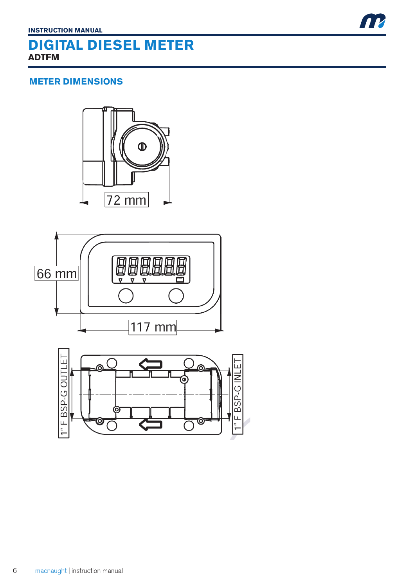#### **METER DIMENSIONS**





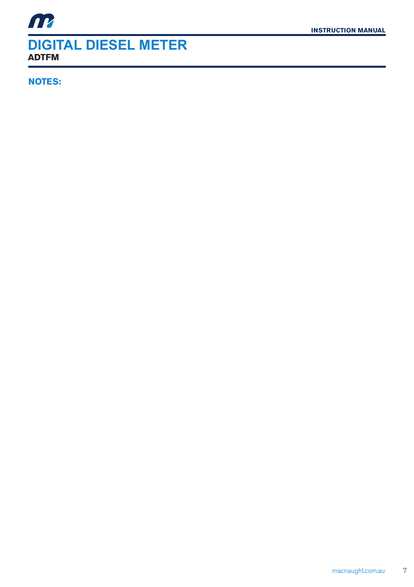**NOTES:**

m